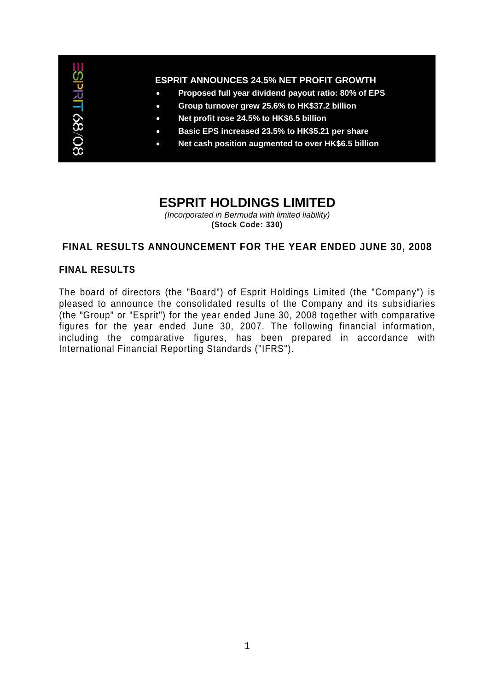

# **ESPRIT HOLDINGS LIMITED**

*(Incorporated in Bermuda with limited liability)*  **(Stock Code: 330)** 

# **FINAL RESULTS ANNOUNCEMENT FOR THE YEAR ENDED JUNE 30, 2008**

## **FINAL RESULTS**

The board of directors (the "Board") of Esprit Holdings Limited (the "Company") is pleased to announce the consolidated results of the Company and its subsidiaries (the "Group" or "Esprit") for the year ended June 30, 2008 together with comparative figures for the year ended June 30, 2007. The following financial information, including the comparative figures, has been prepared in accordance with International Financial Reporting Standards ("IFRS").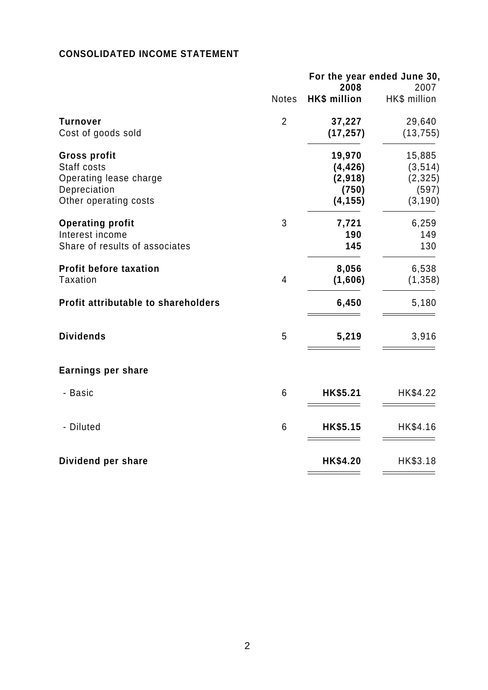# **CONSOLIDATED INCOME STATEMENT**

| For the year ended June 30,<br>2008 |                     | 2007         |
|-------------------------------------|---------------------|--------------|
| <b>Notes</b>                        | <b>HK\$ million</b> | HK\$ million |
| $\overline{2}$                      | 37,227              | 29,640       |
|                                     | (17, 257)           | (13, 755)    |
|                                     | 19,970              | 15,885       |
|                                     | (4, 426)            | (3, 514)     |
|                                     | (2,918)             | (2, 325)     |
|                                     | (750)               | (597)        |
|                                     | (4, 155)            | (3, 190)     |
| 3                                   | 7,721               | 6,259        |
|                                     | 190                 | 149          |
|                                     | 145                 | 130          |
|                                     | 8,056               | 6,538        |
| $\overline{4}$                      | (1,606)             | (1, 358)     |
|                                     | 6,450               | 5,180        |
| 5                                   | 5,219               | 3,916        |
|                                     |                     |              |
| 6                                   | HK\$5.21            | HK\$4.22     |
| 6                                   | HK\$5.15            | HK\$4.16     |
|                                     | HK\$4.20            | HK\$3.18     |
|                                     |                     |              |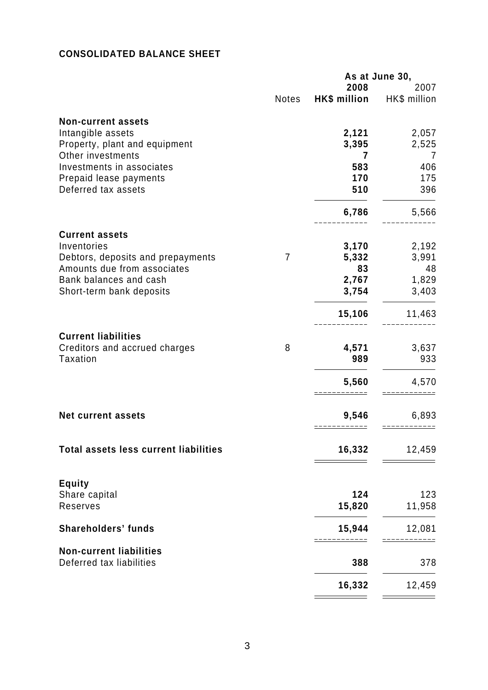# **CONSOLIDATED BALANCE SHEET**

|                                              |                |              | As at June 30, |
|----------------------------------------------|----------------|--------------|----------------|
|                                              |                | 2008         | 2007           |
|                                              | Notes          | HK\$ million | HK\$ million   |
| <b>Non-current assets</b>                    |                |              |                |
| Intangible assets                            |                | 2,121        | 2,057          |
| Property, plant and equipment                |                | 3,395        | 2,525          |
| Other investments                            |                | 7            | 7              |
| Investments in associates                    |                | 583          | 406            |
| Prepaid lease payments                       |                | 170          | 175            |
| Deferred tax assets                          |                | 510          | 396            |
|                                              |                | 6,786        | 5,566          |
| <b>Current assets</b>                        |                |              |                |
| Inventories                                  |                | 3,170        | 2,192          |
| Debtors, deposits and prepayments            | $\overline{7}$ | 5,332        | 3,991          |
| Amounts due from associates                  |                | 83           | 48             |
| Bank balances and cash                       |                | 2,767        | 1,829          |
| Short-term bank deposits                     |                | 3,754        | 3,403          |
|                                              |                | 15,106       | 11,463         |
| <b>Current liabilities</b>                   |                |              |                |
| Creditors and accrued charges                | 8              | 4,571        | 3,637          |
| <b>Taxation</b>                              |                | 989          | 933            |
|                                              |                | 5,560        | 4,570          |
|                                              |                |              |                |
| <b>Net current assets</b>                    |                | 9,546        | 6,893          |
|                                              |                |              |                |
| <b>Total assets less current liabilities</b> |                | 16,332       | 12,459         |
|                                              |                |              |                |
| <b>Equity</b><br>Share capital               |                | 124          | 123            |
| Reserves                                     |                | 15,820       | 11,958         |
|                                              |                |              |                |
| <b>Shareholders' funds</b>                   |                | 15,944       | 12,081         |
| <b>Non-current liabilities</b>               |                |              |                |
| Deferred tax liabilities                     |                | 388          | 378            |
|                                              |                | 16,332       | 12,459         |
|                                              |                |              |                |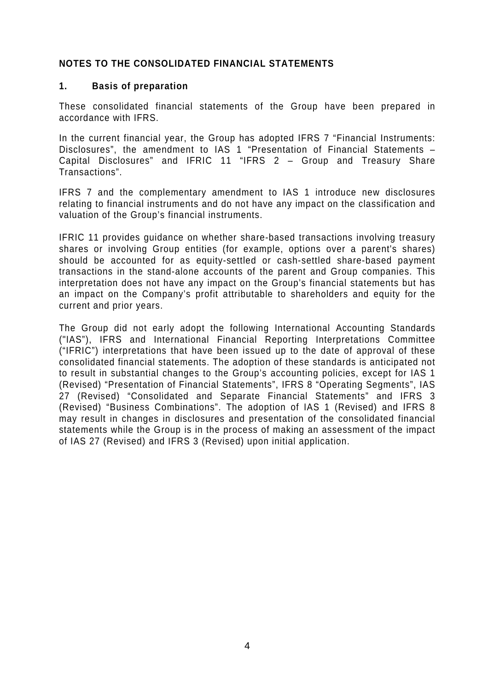# **NOTES TO THE CONSOLIDATED FINANCIAL STATEMENTS**

#### **1. Basis of preparation**

These consolidated financial statements of the Group have been prepared in accordance with IFRS.

In the current financial year, the Group has adopted IFRS 7 "Financial Instruments: Disclosures", the amendment to IAS 1 "Presentation of Financial Statements – Capital Disclosures" and IFRIC 11 "IFRS 2 – Group and Treasury Share Transactions".

IFRS 7 and the complementary amendment to IAS 1 introduce new disclosures relating to financial instruments and do not have any impact on the classification and valuation of the Group's financial instruments.

IFRIC 11 provides guidance on whether share-based transactions involving treasury shares or involving Group entities (for example, options over a parent's shares) should be accounted for as equity-settled or cash-settled share-based payment transactions in the stand-alone accounts of the parent and Group companies. This interpretation does not have any impact on the Group's financial statements but has an impact on the Company's profit attributable to shareholders and equity for the current and prior years.

The Group did not early adopt the following International Accounting Standards ("IAS"), IFRS and International Financial Reporting Interpretations Committee ("IFRIC") interpretations that have been issued up to the date of approval of these consolidated financial statements. The adoption of these standards is anticipated not to result in substantial changes to the Group's accounting policies, except for IAS 1 (Revised) "Presentation of Financial Statements", IFRS 8 "Operating Segments", IAS 27 (Revised) "Consolidated and Separate Financial Statements" and IFRS 3 (Revised) "Business Combinations". The adoption of IAS 1 (Revised) and IFRS 8 may result in changes in disclosures and presentation of the consolidated financial statements while the Group is in the process of making an assessment of the impact of IAS 27 (Revised) and IFRS 3 (Revised) upon initial application.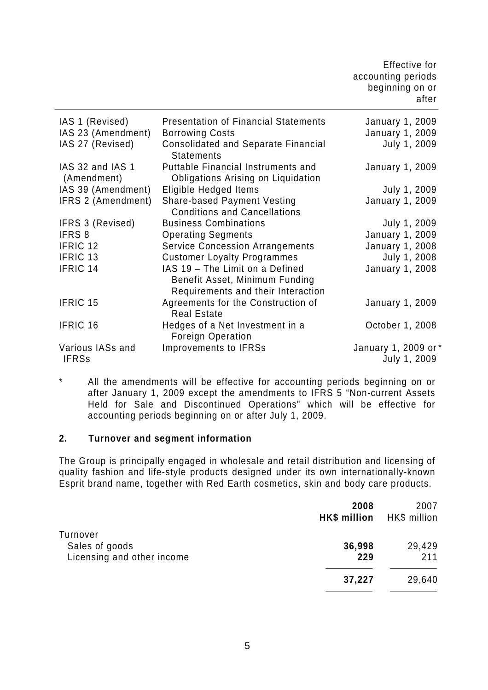|                                  |                                                                                                         | Effective for<br>accounting periods<br>beginning on or<br>after |
|----------------------------------|---------------------------------------------------------------------------------------------------------|-----------------------------------------------------------------|
| IAS 1 (Revised)                  | <b>Presentation of Financial Statements</b>                                                             | January 1, 2009                                                 |
| IAS 23 (Amendment)               | <b>Borrowing Costs</b>                                                                                  | <b>January 1, 2009</b>                                          |
| IAS 27 (Revised)                 | <b>Consolidated and Separate Financial</b><br><b>Statements</b>                                         | July 1, 2009                                                    |
| IAS 32 and IAS 1<br>(Amendment)  | <b>Puttable Financial Instruments and</b><br><b>Obligations Arising on Liquidation</b>                  | January 1, 2009                                                 |
| IAS 39 (Amendment)               | Eligible Hedged Items                                                                                   | July 1, 2009                                                    |
| IFRS 2 (Amendment)               | <b>Share-based Payment Vesting</b><br><b>Conditions and Cancellations</b>                               | <b>January 1, 2009</b>                                          |
| <b>IFRS 3 (Revised)</b>          | <b>Business Combinations</b>                                                                            | July 1, 2009                                                    |
| IFRS 8                           | <b>Operating Segments</b>                                                                               | <b>January 1, 2009</b>                                          |
| IFRIC 12                         | <b>Service Concession Arrangements</b>                                                                  | <b>January 1, 2008</b>                                          |
| IFRIC 13                         | <b>Customer Loyalty Programmes</b>                                                                      | July 1, 2008                                                    |
| IFRIC 14                         | IAS 19 - The Limit on a Defined<br>Benefit Asset, Minimum Funding<br>Requirements and their Interaction | <b>January 1, 2008</b>                                          |
| <b>IFRIC 15</b>                  | Agreements for the Construction of<br><b>Real Estate</b>                                                | January 1, 2009                                                 |
| <b>IFRIC 16</b>                  | Hedges of a Net Investment in a<br><b>Foreign Operation</b>                                             | October 1, 2008                                                 |
| Various IASs and<br><b>IFRSs</b> | <b>Improvements to IFRSs</b>                                                                            | January 1, 2009 or *<br>July 1, 2009                            |

\* All the amendments will be effective for accounting periods beginning on or after January 1, 2009 except the amendments to IFRS 5 "Non-current Assets Held for Sale and Discontinued Operations" which will be effective for accounting periods beginning on or after July 1, 2009.

# **2. Turnover and segment information**

The Group is principally engaged in wholesale and retail distribution and licensing of quality fashion and life-style products designed under its own internationally-known Esprit brand name, together with Red Earth cosmetics, skin and body care products.

|                                                          | 2008<br>HK\$ million | 2007<br>HK\$ million |
|----------------------------------------------------------|----------------------|----------------------|
| Turnover<br>Sales of goods<br>Licensing and other income | 36,998<br>229        | 29,429<br>211        |
|                                                          | 37,227               | 29,640               |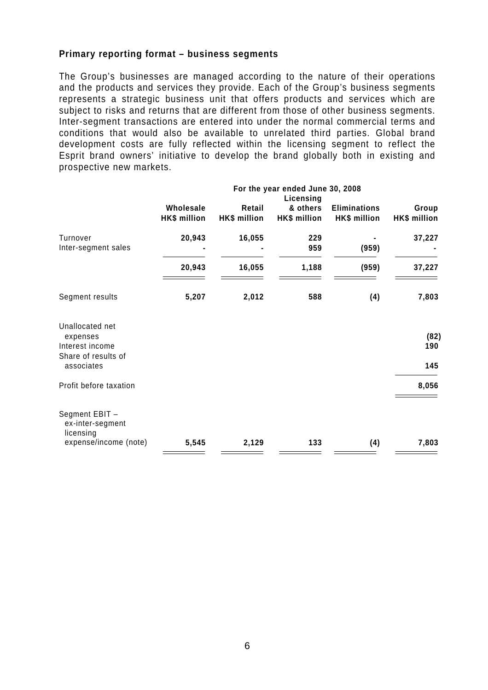#### **Primary reporting format – business segments**

The Group's businesses are managed according to the nature of their operations and the products and services they provide. Each of the Group's business segments represents a strategic business unit that offers products and services which are subject to risks and returns that are different from those of other business segments. Inter-segment transactions are entered into under the normal commercial terms and conditions that would also be available to unrelated third parties. Global brand development costs are fully reflected within the licensing segment to reflect the Esprit brand owners' initiative to develop the brand globally both in existing and prospective new markets.

|                                                                       | For the year ended June 30, 2008<br>Licensing |                               |                          |                                     |                       |
|-----------------------------------------------------------------------|-----------------------------------------------|-------------------------------|--------------------------|-------------------------------------|-----------------------|
|                                                                       | Wholesale<br><b>HK\$</b> million              | Retail<br><b>HK\$ million</b> | & others<br>HK\$ million | <b>Eliminations</b><br>HK\$ million | Group<br>HK\$ million |
| Turnover<br>Inter-segment sales                                       | 20,943                                        | 16,055                        | 229<br>959               | (959)                               | 37,227                |
|                                                                       | 20,943                                        | 16,055                        | 1,188                    | (959)                               | 37,227                |
| Segment results                                                       | 5,207                                         | 2,012                         | 588                      | (4)                                 | 7,803                 |
| Unallocated net<br>expenses<br>Interest income<br>Share of results of |                                               |                               |                          |                                     | (82)<br>190           |
| associates                                                            |                                               |                               |                          |                                     | 145                   |
| Profit before taxation                                                |                                               |                               |                          |                                     | 8,056                 |
| Segment EBIT -<br>ex-inter-segment<br>licensing                       |                                               |                               |                          |                                     |                       |
| expense/income (note)                                                 | 5,545                                         | 2,129                         | 133                      | (4)                                 | 7,803                 |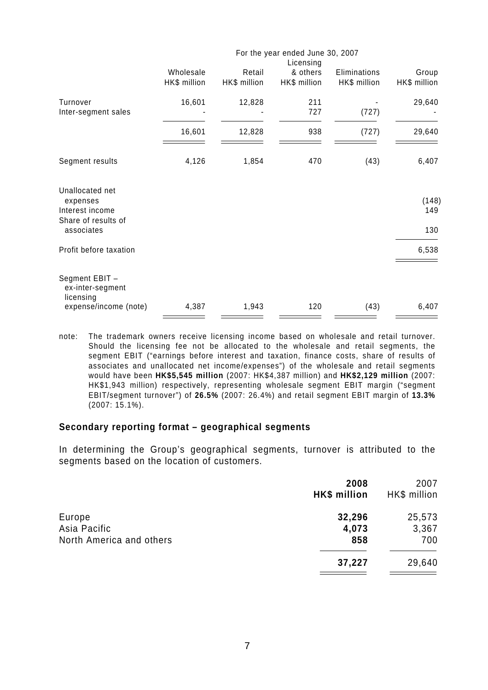|                                                                                     | For the year ended June 30, 2007 |                        |                                       |                              |                       |
|-------------------------------------------------------------------------------------|----------------------------------|------------------------|---------------------------------------|------------------------------|-----------------------|
|                                                                                     | Wholesale<br>HK\$ million        | Retail<br>HK\$ million | Licensing<br>& others<br>HK\$ million | Eliminations<br>HK\$ million | Group<br>HK\$ million |
| Turnover<br>Inter-segment sales                                                     | 16,601                           | 12,828                 | 211<br>727                            | (727)                        | 29,640                |
|                                                                                     | 16,601                           | 12,828                 | 938                                   | (727)                        | 29,640                |
| Segment results                                                                     | 4,126                            | 1,854                  | 470                                   | (43)                         | 6,407                 |
| Unallocated net<br>expenses<br>Interest income<br>Share of results of<br>associates |                                  |                        |                                       |                              | (148)<br>149<br>130   |
| Profit before taxation                                                              |                                  |                        |                                       |                              | 6,538                 |
| Segment EBIT -<br>ex-inter-segment<br>licensing<br>expense/income (note)            | 4,387                            | 1,943                  | 120                                   | (43)                         | 6,407                 |
|                                                                                     |                                  |                        |                                       |                              |                       |

note: The trademark owners receive licensing income based on wholesale and retail turnover. Should the licensing fee not be allocated to the wholesale and retail segments, the segment EBIT ("earnings before interest and taxation, finance costs, share of results of associates and unallocated net income/expenses") of the wholesale and retail segments would have been **HK\$5,545 million** (2007: HK\$4,387 million) and **HK\$2,129 million** (2007: HK\$1,943 million) respectively, representing wholesale segment EBIT margin ("segment EBIT/segment turnover") of **26.5%** (2007: 26.4%) and retail segment EBIT margin of **13.3%**  (2007: 15.1%).

#### **Secondary reporting format – geographical segments**

In determining the Group's geographical segments, turnover is attributed to the segments based on the location of customers.

| <b>HK\$</b> million | 2007<br>HK\$ million |
|---------------------|----------------------|
| 32,296              | 25,573               |
| 4,073               | 3,367                |
| 858                 | 700                  |
| 37,227              | 29,640               |
|                     | 2008                 |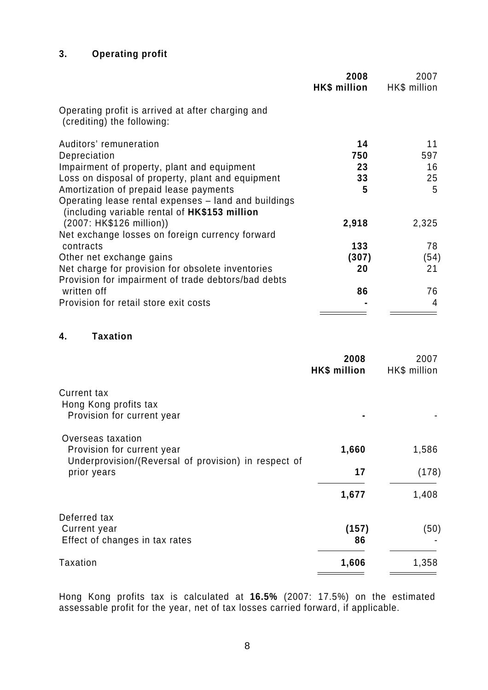# **3. Operating profit**

|                                                                                                       | 2008<br>HK\$ million | 2007<br>HK\$ million |
|-------------------------------------------------------------------------------------------------------|----------------------|----------------------|
| Operating profit is arrived at after charging and<br>(crediting) the following:                       |                      |                      |
| Auditors' remuneration                                                                                | 14                   | 11                   |
| Depreciation                                                                                          | 750                  | 597                  |
| Impairment of property, plant and equipment                                                           | 23                   | 16                   |
| Loss on disposal of property, plant and equipment                                                     | 33                   | 25                   |
| Amortization of prepaid lease payments                                                                | 5                    | 5                    |
| Operating lease rental expenses - land and buildings<br>(including variable rental of HK\$153 million |                      |                      |
| (2007: HK\$126 million))                                                                              | 2,918                | 2,325                |
| Net exchange losses on foreign currency forward                                                       |                      |                      |
| contracts                                                                                             | 133                  | 78                   |
| Other net exchange gains                                                                              | (307)                | (54)                 |
| Net charge for provision for obsolete inventories                                                     | 20                   | 21                   |
| Provision for impairment of trade debtors/bad debts                                                   |                      |                      |
| written off                                                                                           | 86                   | 76                   |
| Provision for retail store exit costs                                                                 |                      | 4                    |
|                                                                                                       |                      |                      |

# **4. Taxation**

|                                                                                                         | 2008<br>HK\$ million | 2007<br>HK\$ million |
|---------------------------------------------------------------------------------------------------------|----------------------|----------------------|
| <b>Current tax</b><br>Hong Kong profits tax<br>Provision for current year                               |                      |                      |
| Overseas taxation<br>Provision for current year<br>Underprovision/(Reversal of provision) in respect of | 1,660                | 1,586                |
| prior years                                                                                             | 17                   | (178)                |
|                                                                                                         | 1,677                | 1,408                |
| Deferred tax<br>Current year<br>Effect of changes in tax rates                                          | (157)<br>86          | (50)                 |
| Taxation                                                                                                | 1,606                | 1,358                |

Hong Kong profits tax is calculated at **16.5%** (2007: 17.5%) on the estimated assessable profit for the year, net of tax losses carried forward, if applicable.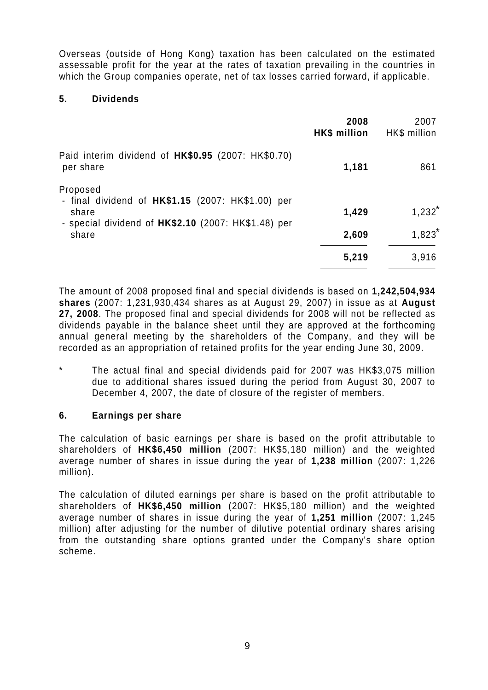Overseas (outside of Hong Kong) taxation has been calculated on the estimated assessable profit for the year at the rates of taxation prevailing in the countries in which the Group companies operate, net of tax losses carried forward, if applicable.

# **5. Dividends**

|                                                                           | 2008<br>HK\$ million | 2007<br>HK\$ million |
|---------------------------------------------------------------------------|----------------------|----------------------|
| Paid interim dividend of HK\$0.95 (2007: HK\$0.70)<br>per share           | 1,181                | 861                  |
| Proposed<br>- final dividend of $HK$1.15$ (2007: $HK$1.00$ ) per<br>share | 1,429                | $1,232^*$            |
| - special dividend of $HK$2.10$ (2007: $HK$1.48$ ) per<br>share           | 2,609                | 1,823                |
|                                                                           | 5,219                | 3,916                |

The amount of 2008 proposed final and special dividends is based on **1,242,504,934 shares** (2007: 1,231,930,434 shares as at August 29, 2007) in issue as at **August 27, 2008**. The proposed final and special dividends for 2008 will not be reflected as dividends payable in the balance sheet until they are approved at the forthcoming annual general meeting by the shareholders of the Company, and they will be recorded as an appropriation of retained profits for the year ending June 30, 2009.

The actual final and special dividends paid for 2007 was HK\$3,075 million due to additional shares issued during the period from August 30, 2007 to December 4, 2007, the date of closure of the register of members.

# **6. Earnings per share**

The calculation of basic earnings per share is based on the profit attributable to shareholders of **HK\$6,450 million** (2007: HK\$5,180 million) and the weighted average number of shares in issue during the year of **1,238 million** (2007: 1,226 million).

The calculation of diluted earnings per share is based on the profit attributable to shareholders of **HK\$6,450 million** (2007: HK\$5,180 million) and the weighted average number of shares in issue during the year of **1,251 million** (2007: 1,245 million) after adjusting for the number of dilutive potential ordinary shares arising from the outstanding share options granted under the Company's share option scheme.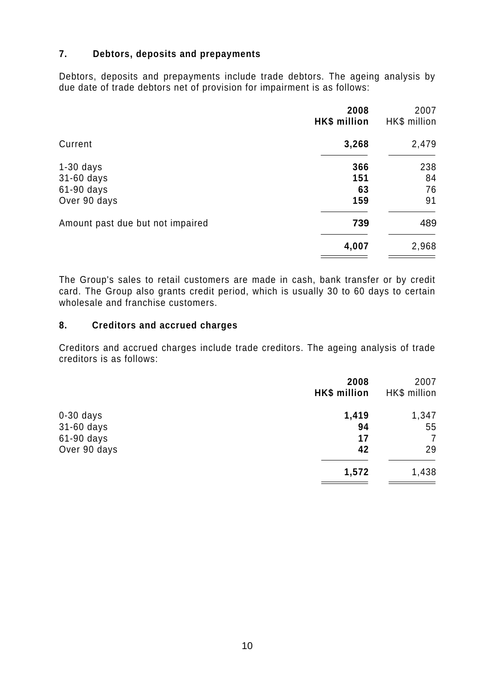# **7. Debtors, deposits and prepayments**

Debtors, deposits and prepayments include trade debtors. The ageing analysis by due date of trade debtors net of provision for impairment is as follows:

|                                  | 2008<br>HK\$ million | 2007<br>HK\$ million |
|----------------------------------|----------------------|----------------------|
| Current                          | 3,268                | 2,479                |
| $1-30$ days                      | 366                  | 238                  |
| 31-60 days                       | 151                  | 84                   |
| 61-90 days                       | 63                   | 76                   |
| Over 90 days                     | 159                  | 91                   |
| Amount past due but not impaired | 739                  | 489                  |
|                                  | 4,007                | 2,968                |

The Group's sales to retail customers are made in cash, bank transfer or by credit card. The Group also grants credit period, which is usually 30 to 60 days to certain wholesale and franchise customers.

#### **8. Creditors and accrued charges**

Creditors and accrued charges include trade creditors. The ageing analysis of trade creditors is as follows:

|              | 2008<br>HK\$ million | 2007<br>HK\$ million |
|--------------|----------------------|----------------------|
| $0-30$ days  | 1,419                | 1,347                |
| 31-60 days   | 94                   | 55                   |
| 61-90 days   | 17                   | 7                    |
| Over 90 days | 42                   | 29                   |
|              | 1,572                | 1,438                |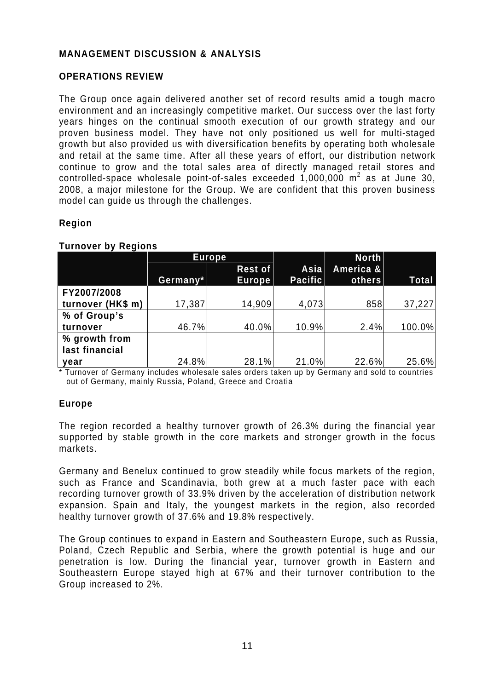# **MANAGEMENT DISCUSSION & ANALYSIS**

## **OPERATIONS REVIEW**

The Group once again delivered another set of record results amid a tough macro environment and an increasingly competitive market. Our success over the last forty years hinges on the continual smooth execution of our growth strategy and our proven business model. They have not only positioned us well for multi-staged growth but also provided us with diversification benefits by operating both wholesale and retail at the same time. After all these years of effort, our distribution network continue to grow and the total sales area of directly managed retail stores and controlled-space wholesale point-of-sales exceeded  $1,000,000$  m<sup>2</sup> as at June 30, 2008, a major milestone for the Group. We are confident that this proven business model can guide us through the challenges.

#### **Region**

#### **Turnover by Regions**

|                   |          | Europe,                  |                        | <b>North</b>        |              |
|-------------------|----------|--------------------------|------------------------|---------------------|--------------|
|                   | Germany* | Rest of<br><b>Europe</b> | Asia<br><b>Pacific</b> | America &<br>others | <b>Total</b> |
| FY2007/2008       |          |                          |                        |                     |              |
| turnover (HK\$ m) | 17,387   | 14,909                   | 4,073                  | 858                 | 37,227       |
| % of Group's      |          |                          |                        |                     |              |
| turnover          | 46.7%    | 40.0%                    | 10.9%                  | 2.4%                | 100.0%       |
| % growth from     |          |                          |                        |                     |              |
| last financial    |          |                          |                        |                     |              |
| vear              | 24.8%    | 28.1%                    | 21.0%                  | 22.6%               | 25.6%        |

\* Turnover of Germany includes wholesale sales orders taken up by Germany and sold to countries out of Germany, mainly Russia, Poland, Greece and Croatia

#### **Europe**

The region recorded a healthy turnover growth of 26.3% during the financial year supported by stable growth in the core markets and stronger growth in the focus markets.

Germany and Benelux continued to grow steadily while focus markets of the region, such as France and Scandinavia, both grew at a much faster pace with each recording turnover growth of 33.9% driven by the acceleration of distribution network expansion. Spain and Italy, the youngest markets in the region, also recorded healthy turnover growth of 37.6% and 19.8% respectively.

The Group continues to expand in Eastern and Southeastern Europe, such as Russia, Poland, Czech Republic and Serbia, where the growth potential is huge and our penetration is low. During the financial year, turnover growth in Eastern and Southeastern Europe stayed high at 67% and their turnover contribution to the Group increased to 2%.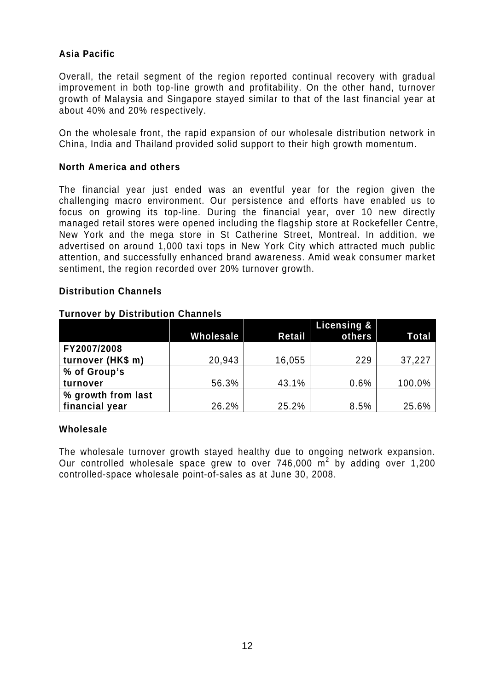# **Asia Pacific**

Overall, the retail segment of the region reported continual recovery with gradual improvement in both top-line growth and profitability. On the other hand, turnover growth of Malaysia and Singapore stayed similar to that of the last financial year at about 40% and 20% respectively.

On the wholesale front, the rapid expansion of our wholesale distribution network in China, India and Thailand provided solid support to their high growth momentum.

### **North America and others**

The financial year just ended was an eventful year for the region given the challenging macro environment. Our persistence and efforts have enabled us to focus on growing its top-line. During the financial year, over 10 new directly managed retail stores were opened including the flagship store at Rockefeller Centre, New York and the mega store in St Catherine Street, Montreal. In addition, we advertised on around 1,000 taxi tops in New York City which attracted much public attention, and successfully enhanced brand awareness. Amid weak consumer market sentiment, the region recorded over 20% turnover growth.

## **Distribution Channels**

#### **Turnover by Distribution Channels**

|                    |           |        | <b>Licensing &amp;</b> |              |
|--------------------|-----------|--------|------------------------|--------------|
|                    | Wholesale | Retail | others                 | <b>Total</b> |
| FY2007/2008        |           |        |                        |              |
| turnover (HK\$ m)  | 20,943    | 16,055 | 229                    | 37,227       |
| % of Group's       |           |        |                        |              |
| turnover           | 56.3%     | 43.1%  | 0.6%                   | 100.0%       |
| % growth from last |           |        |                        |              |
| financial year     | 26.2%     | 25.2%  | 8.5%                   | 25.6%        |

#### **Wholesale**

The wholesale turnover growth stayed healthy due to ongoing network expansion. Our controlled wholesale space grew to over 746,000  $m^2$  by adding over 1,200 controlled-space wholesale point-of-sales as at June 30, 2008.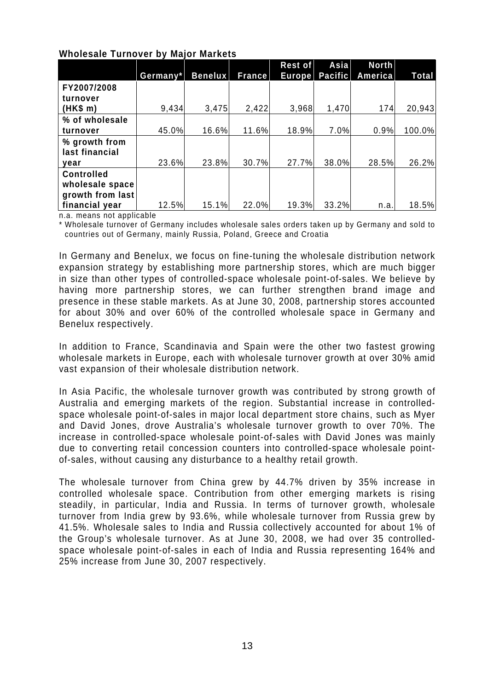|                                                          | Germany* | <b>Benelux</b> | France | Rest of<br><b>Europe</b> | Asia<br><b>Pacific</b> | <b>North</b><br>America | Total  |
|----------------------------------------------------------|----------|----------------|--------|--------------------------|------------------------|-------------------------|--------|
| FY2007/2008                                              |          |                |        |                          |                        |                         |        |
| turnover<br>(HK\$ m)                                     | 9,434    | 3,475          | 2,422  | 3,968                    | 1,470                  | 174                     | 20,943 |
| % of wholesale                                           |          |                |        |                          |                        |                         |        |
| turnover                                                 | 45.0%    | 16.6%          | 11.6%  | 18.9%                    | 7.0%                   | 0.9%                    | 100.0% |
| % growth from                                            |          |                |        |                          |                        |                         |        |
| last financial<br>vear                                   | 23.6%    | 23.8%          | 30.7%  | 27.7%                    | 38.0%                  | 28.5%                   | 26.2%  |
| <b>Controlled</b><br>wholesale space<br>growth from last |          |                |        |                          |                        |                         |        |
| financial year                                           | 12.5%    | 15.1%          | 22.0%  | 19.3%                    | 33.2%                  | n.a.                    | 18.5%  |

## **Wholesale Turnover by Major Markets**

n.a. means not applicable

\* Wholesale turnover of Germany includes wholesale sales orders taken up by Germany and sold to countries out of Germany, mainly Russia, Poland, Greece and Croatia

In Germany and Benelux, we focus on fine-tuning the wholesale distribution network expansion strategy by establishing more partnership stores, which are much bigger in size than other types of controlled-space wholesale point-of-sales. We believe by having more partnership stores, we can further strengthen brand image and presence in these stable markets. As at June 30, 2008, partnership stores accounted for about 30% and over 60% of the controlled wholesale space in Germany and Benelux respectively.

In addition to France, Scandinavia and Spain were the other two fastest growing wholesale markets in Europe, each with wholesale turnover growth at over 30% amid vast expansion of their wholesale distribution network.

In Asia Pacific, the wholesale turnover growth was contributed by strong growth of Australia and emerging markets of the region. Substantial increase in controlledspace wholesale point-of-sales in major local department store chains, such as Myer and David Jones, drove Australia's wholesale turnover growth to over 70%. The increase in controlled-space wholesale point-of-sales with David Jones was mainly due to converting retail concession counters into controlled-space wholesale pointof-sales, without causing any disturbance to a healthy retail growth.

The wholesale turnover from China grew by 44.7% driven by 35% increase in controlled wholesale space. Contribution from other emerging markets is rising steadily, in particular, India and Russia. In terms of turnover growth, wholesale turnover from India grew by 93.6%, while wholesale turnover from Russia grew by 41.5%. Wholesale sales to India and Russia collectively accounted for about 1% of the Group's wholesale turnover. As at June 30, 2008, we had over 35 controlledspace wholesale point-of-sales in each of India and Russia representing 164% and 25% increase from June 30, 2007 respectively.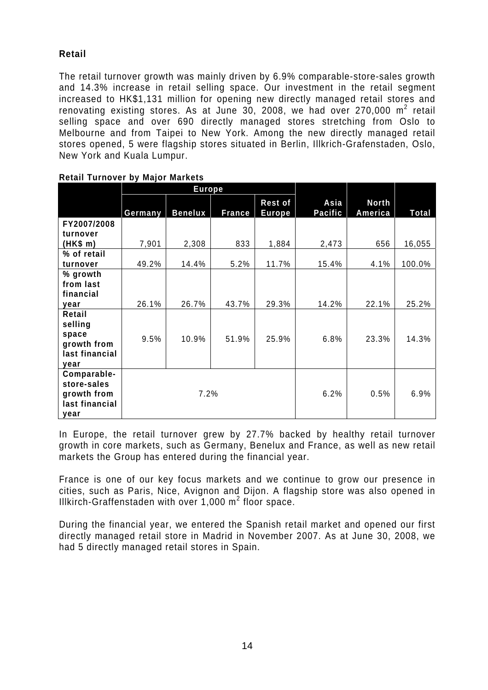# **Retail**

The retail turnover growth was mainly driven by 6.9% comparable-store-sales growth and 14.3% increase in retail selling space. Our investment in the retail segment increased to HK\$1,131 million for opening new directly managed retail stores and renovating existing stores. As at June 30, 2008, we had over 270,000  $m^2$  retail selling space and over 690 directly managed stores stretching from Oslo to Melbourne and from Taipei to New York. Among the new directly managed retail stores opened, 5 were flagship stores situated in Berlin, Illkrich-Grafenstaden, Oslo, New York and Kuala Lumpur.

|                   | <b>Europe</b> |                |               |                          |                 |                         |        |
|-------------------|---------------|----------------|---------------|--------------------------|-----------------|-------------------------|--------|
|                   | Germany       | <b>Benelux</b> | <b>France</b> | Rest of<br><b>Europe</b> | Asia<br>Pacific | <b>North</b><br>America | Total  |
| FY2007/2008       |               |                |               |                          |                 |                         |        |
| turnover          |               |                |               |                          |                 |                         |        |
| (HK\$ m)          | 7,901         | 2,308          | 833           | 1,884                    | 2,473           | 656                     | 16,055 |
| % of retail       |               |                |               |                          |                 |                         |        |
| turnover          | 49.2%         | 14.4%          | 5.2%          | 11.7%                    | 15.4%           | 4.1%                    | 100.0% |
| % growth          |               |                |               |                          |                 |                         |        |
| from last         |               |                |               |                          |                 |                         |        |
| financial         |               |                |               |                          |                 |                         |        |
| year              | 26.1%         | 26.7%          | 43.7%         | 29.3%                    | 14.2%           | 22.1%                   | 25.2%  |
| Retail<br>selling |               |                |               |                          |                 |                         |        |
| space             | 9.5%          | 10.9%          | 51.9%         | 25.9%                    | 6.8%            | 23.3%                   | 14.3%  |
| growth from       |               |                |               |                          |                 |                         |        |
| last financial    |               |                |               |                          |                 |                         |        |
| year              |               |                |               |                          |                 |                         |        |
| Comparable-       |               |                |               |                          |                 |                         |        |
| store-sales       |               |                |               |                          |                 |                         |        |
| growth from       | 7.2%          |                |               | 6.2%                     | 0.5%            | 6.9%                    |        |
| last financial    |               |                |               |                          |                 |                         |        |
| year              |               |                |               |                          |                 |                         |        |

In Europe, the retail turnover grew by 27.7% backed by healthy retail turnover growth in core markets, such as Germany, Benelux and France, as well as new retail markets the Group has entered during the financial year.

France is one of our key focus markets and we continue to grow our presence in cities, such as Paris, Nice, Avignon and Dijon. A flagship store was also opened in Illkirch-Graffenstaden with over 1,000  $m^2$  floor space.

During the financial year, we entered the Spanish retail market and opened our first directly managed retail store in Madrid in November 2007. As at June 30, 2008, we had 5 directly managed retail stores in Spain.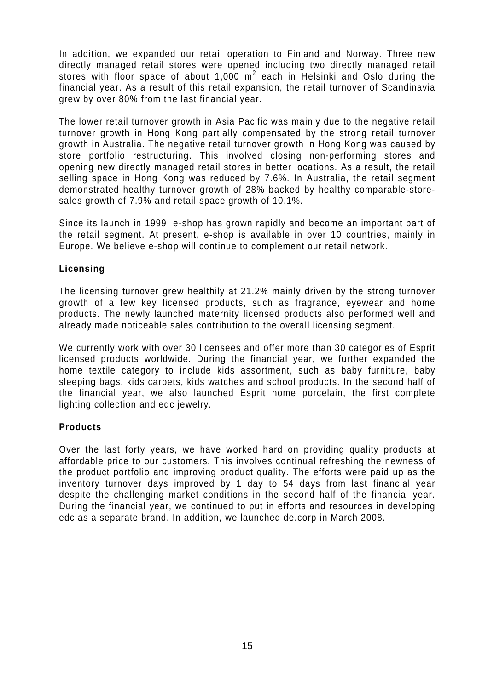In addition, we expanded our retail operation to Finland and Norway. Three new directly managed retail stores were opened including two directly managed retail stores with floor space of about 1,000  $m^2$  each in Helsinki and Oslo during the financial year. As a result of this retail expansion, the retail turnover of Scandinavia grew by over 80% from the last financial year.

The lower retail turnover growth in Asia Pacific was mainly due to the negative retail turnover growth in Hong Kong partially compensated by the strong retail turnover growth in Australia. The negative retail turnover growth in Hong Kong was caused by store portfolio restructuring. This involved closing non-performing stores and opening new directly managed retail stores in better locations. As a result, the retail selling space in Hong Kong was reduced by 7.6%. In Australia, the retail segment demonstrated healthy turnover growth of 28% backed by healthy comparable-storesales growth of 7.9% and retail space growth of 10.1%.

Since its launch in 1999, e-shop has grown rapidly and become an important part of the retail segment. At present, e-shop is available in over 10 countries, mainly in Europe. We believe e-shop will continue to complement our retail network.

## **Licensing**

The licensing turnover grew healthily at 21.2% mainly driven by the strong turnover growth of a few key licensed products, such as fragrance, eyewear and home products. The newly launched maternity licensed products also performed well and already made noticeable sales contribution to the overall licensing segment.

We currently work with over 30 licensees and offer more than 30 categories of Esprit licensed products worldwide. During the financial year, we further expanded the home textile category to include kids assortment, such as baby furniture, baby sleeping bags, kids carpets, kids watches and school products. In the second half of the financial year, we also launched Esprit home porcelain, the first complete lighting collection and edc jewelry.

# **Products**

Over the last forty years, we have worked hard on providing quality products at affordable price to our customers. This involves continual refreshing the newness of the product portfolio and improving product quality. The efforts were paid up as the inventory turnover days improved by 1 day to 54 days from last financial year despite the challenging market conditions in the second half of the financial year. During the financial year, we continued to put in efforts and resources in developing edc as a separate brand. In addition, we launched de.corp in March 2008.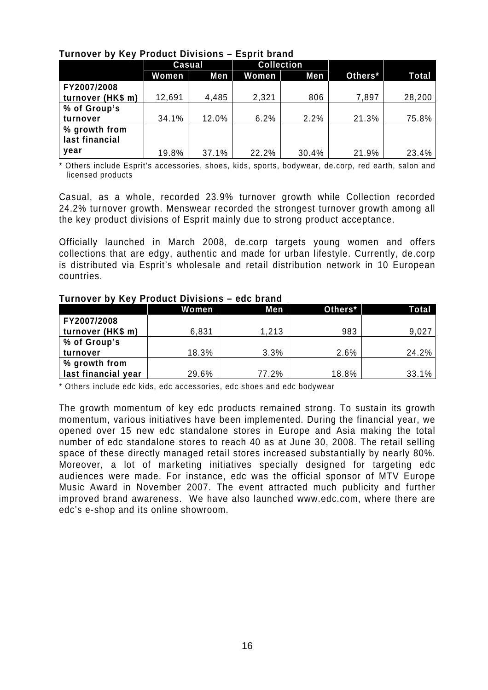| <b>UNITED TO THE TERM IN THE TERM ISSUED</b> | <b>LUNIIL MINIIM</b> |       |                   |       |         |        |
|----------------------------------------------|----------------------|-------|-------------------|-------|---------|--------|
|                                              | <b>Casual</b>        |       | <b>Collection</b> |       |         |        |
|                                              | Women                | Men   | <b>Women</b>      | Men   | Others* | Total  |
| FY2007/2008                                  |                      |       |                   |       |         |        |
| turnover (HK\$ m)                            | 12,691               | 4,485 | 2,321             | 806   | 7,897   | 28,200 |
| % of Group's                                 |                      |       |                   |       |         |        |
| turnover                                     | 34.1%                | 12.0% | 6.2%              | 2.2%  | 21.3%   | 75.8%  |
| % growth from                                |                      |       |                   |       |         |        |
| last financial                               |                      |       |                   |       |         |        |
| year                                         | 19.8%                | 37.1% | 22.2%             | 30.4% | 21.9%   | 23.4%  |

# **Turnover by Key Product Divisions – Esprit brand**

\* Others include Esprit's accessories, shoes, kids, sports, bodywear, de.corp, red earth, salon and licensed products

Casual, as a whole, recorded 23.9% turnover growth while Collection recorded 24.2% turnover growth. Menswear recorded the strongest turnover growth among all the key product divisions of Esprit mainly due to strong product acceptance.

Officially launched in March 2008, de.corp targets young women and offers collections that are edgy, authentic and made for urban lifestyle. Currently, de.corp is distributed via Esprit's wholesale and retail distribution network in 10 European countries.

#### **Turnover by Key Product Divisions – edc brand**

|                     | Women | Men   | Others* | Total |
|---------------------|-------|-------|---------|-------|
| FY2007/2008         |       |       |         |       |
| turnover (HK\$ m)   | 6,831 | 1,213 | 983     | 9,027 |
| % of Group's        |       |       |         |       |
| turnover            | 18.3% | 3.3%  | 2.6%    | 24.2% |
| % growth from       |       |       |         |       |
| last financial year | 29.6% | 77.2% | 18.8%   | 33.1% |

\* Others include edc kids, edc accessories, edc shoes and edc bodywear

The growth momentum of key edc products remained strong. To sustain its growth momentum, various initiatives have been implemented. During the financial year, we opened over 15 new edc standalone stores in Europe and Asia making the total number of edc standalone stores to reach 40 as at June 30, 2008. The retail selling space of these directly managed retail stores increased substantially by nearly 80%. Moreover, a lot of marketing initiatives specially designed for targeting edc audiences were made. For instance, edc was the official sponsor of MTV Europe Music Award in November 2007. The event attracted much publicity and further improved brand awareness. We have also launched www.edc.com, where there are edc's e-shop and its online showroom.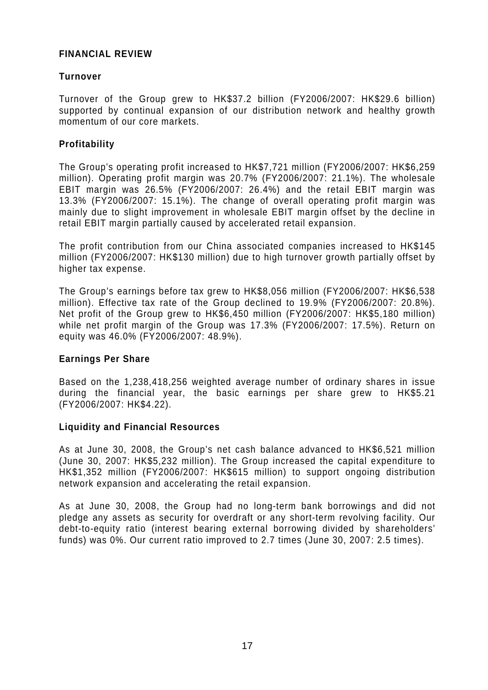## **FINANCIAL REVIEW**

## **Turnover**

Turnover of the Group grew to HK\$37.2 billion (FY2006/2007: HK\$29.6 billion) supported by continual expansion of our distribution network and healthy growth momentum of our core markets.

### **Profitability**

The Group's operating profit increased to HK\$7,721 million (FY2006/2007: HK\$6,259 million). Operating profit margin was 20.7% (FY2006/2007: 21.1%). The wholesale EBIT margin was 26.5% (FY2006/2007: 26.4%) and the retail EBIT margin was 13.3% (FY2006/2007: 15.1%). The change of overall operating profit margin was mainly due to slight improvement in wholesale EBIT margin offset by the decline in retail EBIT margin partially caused by accelerated retail expansion.

The profit contribution from our China associated companies increased to HK\$145 million (FY2006/2007: HK\$130 million) due to high turnover growth partially offset by higher tax expense.

The Group's earnings before tax grew to HK\$8,056 million (FY2006/2007: HK\$6,538 million). Effective tax rate of the Group declined to 19.9% (FY2006/2007: 20.8%). Net profit of the Group grew to HK\$6,450 million (FY2006/2007: HK\$5,180 million) while net profit margin of the Group was 17.3% (FY2006/2007: 17.5%). Return on equity was 46.0% (FY2006/2007: 48.9%).

#### **Earnings Per Share**

Based on the 1,238,418,256 weighted average number of ordinary shares in issue during the financial year, the basic earnings per share grew to HK\$5.21 (FY2006/2007: HK\$4.22).

#### **Liquidity and Financial Resources**

As at June 30, 2008, the Group's net cash balance advanced to HK\$6,521 million (June 30, 2007: HK\$5,232 million). The Group increased the capital expenditure to HK\$1,352 million (FY2006/2007: HK\$615 million) to support ongoing distribution network expansion and accelerating the retail expansion.

As at June 30, 2008, the Group had no long-term bank borrowings and did not pledge any assets as security for overdraft or any short-term revolving facility. Our debt-to-equity ratio (interest bearing external borrowing divided by shareholders' funds) was 0%. Our current ratio improved to 2.7 times (June 30, 2007: 2.5 times).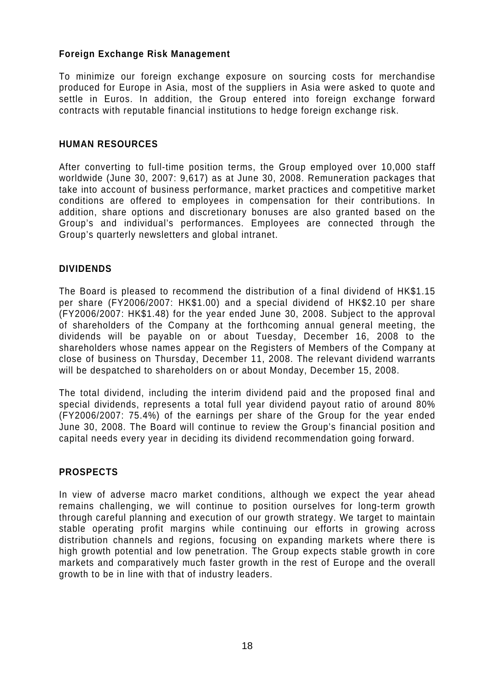# **Foreign Exchange Risk Management**

To minimize our foreign exchange exposure on sourcing costs for merchandise produced for Europe in Asia, most of the suppliers in Asia were asked to quote and settle in Euros. In addition, the Group entered into foreign exchange forward contracts with reputable financial institutions to hedge foreign exchange risk.

#### **HUMAN RESOURCES**

After converting to full-time position terms, the Group employed over 10,000 staff worldwide (June 30, 2007: 9,617) as at June 30, 2008. Remuneration packages that take into account of business performance, market practices and competitive market conditions are offered to employees in compensation for their contributions. In addition, share options and discretionary bonuses are also granted based on the Group's and individual's performances. Employees are connected through the Group's quarterly newsletters and global intranet.

#### **DIVIDENDS**

The Board is pleased to recommend the distribution of a final dividend of HK\$1.15 per share (FY2006/2007: HK\$1.00) and a special dividend of HK\$2.10 per share (FY2006/2007: HK\$1.48) for the year ended June 30, 2008. Subject to the approval of shareholders of the Company at the forthcoming annual general meeting, the dividends will be payable on or about Tuesday, December 16, 2008 to the shareholders whose names appear on the Registers of Members of the Company at close of business on Thursday, December 11, 2008. The relevant dividend warrants will be despatched to shareholders on or about Monday, December 15, 2008.

The total dividend, including the interim dividend paid and the proposed final and special dividends, represents a total full year dividend payout ratio of around 80% (FY2006/2007: 75.4%) of the earnings per share of the Group for the year ended June 30, 2008. The Board will continue to review the Group's financial position and capital needs every year in deciding its dividend recommendation going forward.

#### **PROSPECTS**

In view of adverse macro market conditions, although we expect the year ahead remains challenging, we will continue to position ourselves for long-term growth through careful planning and execution of our growth strategy. We target to maintain stable operating profit margins while continuing our efforts in growing across distribution channels and regions, focusing on expanding markets where there is high growth potential and low penetration. The Group expects stable growth in core markets and comparatively much faster growth in the rest of Europe and the overall growth to be in line with that of industry leaders.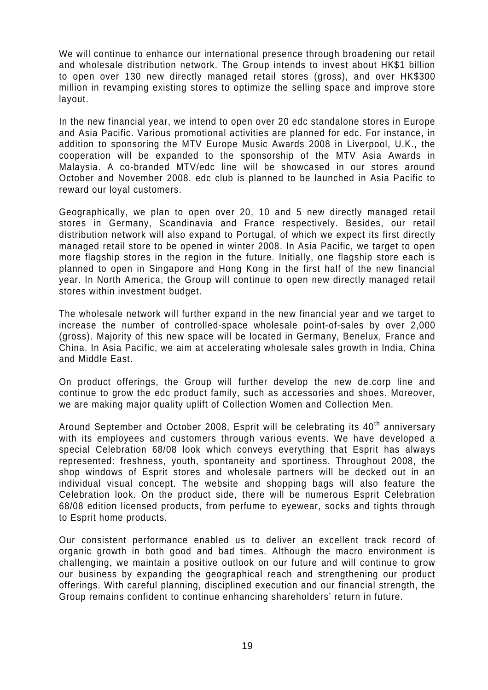We will continue to enhance our international presence through broadening our retail and wholesale distribution network. The Group intends to invest about HK\$1 billion to open over 130 new directly managed retail stores (gross), and over HK\$300 million in revamping existing stores to optimize the selling space and improve store layout.

In the new financial year, we intend to open over 20 edc standalone stores in Europe and Asia Pacific. Various promotional activities are planned for edc. For instance, in addition to sponsoring the MTV Europe Music Awards 2008 in Liverpool, U.K., the cooperation will be expanded to the sponsorship of the MTV Asia Awards in Malaysia. A co-branded MTV/edc line will be showcased in our stores around October and November 2008. edc club is planned to be launched in Asia Pacific to reward our loyal customers.

Geographically, we plan to open over 20, 10 and 5 new directly managed retail stores in Germany, Scandinavia and France respectively. Besides, our retail distribution network will also expand to Portugal, of which we expect its first directly managed retail store to be opened in winter 2008. In Asia Pacific, we target to open more flagship stores in the region in the future. Initially, one flagship store each is planned to open in Singapore and Hong Kong in the first half of the new financial year. In North America, the Group will continue to open new directly managed retail stores within investment budget.

The wholesale network will further expand in the new financial year and we target to increase the number of controlled-space wholesale point-of-sales by over 2,000 (gross). Majority of this new space will be located in Germany, Benelux, France and China. In Asia Pacific, we aim at accelerating wholesale sales growth in India, China and Middle East.

On product offerings, the Group will further develop the new de.corp line and continue to grow the edc product family, such as accessories and shoes. Moreover, we are making major quality uplift of Collection Women and Collection Men.

Around September and October 2008, Esprit will be celebrating its 40<sup>th</sup> anniversary with its employees and customers through various events. We have developed a special Celebration 68/08 look which conveys everything that Esprit has always represented: freshness, youth, spontaneity and sportiness. Throughout 2008, the shop windows of Esprit stores and wholesale partners will be decked out in an individual visual concept. The website and shopping bags will also feature the Celebration look. On the product side, there will be numerous Esprit Celebration 68/08 edition licensed products, from perfume to eyewear, socks and tights through to Esprit home products.

Our consistent performance enabled us to deliver an excellent track record of organic growth in both good and bad times. Although the macro environment is challenging, we maintain a positive outlook on our future and will continue to grow our business by expanding the geographical reach and strengthening our product offerings. With careful planning, disciplined execution and our financial strength, the Group remains confident to continue enhancing shareholders' return in future.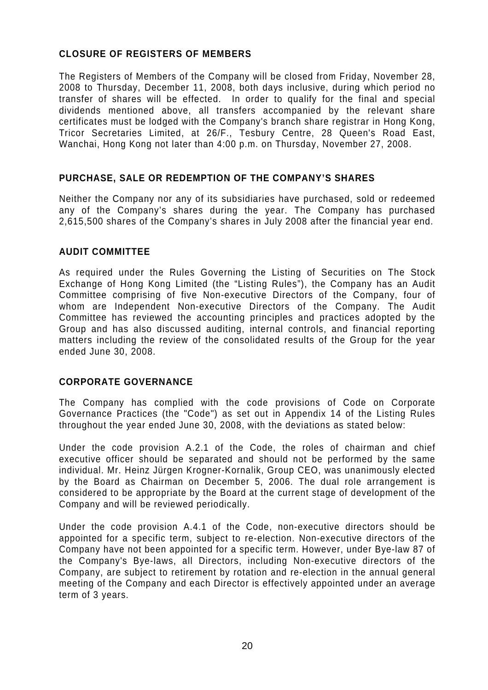# **CLOSURE OF REGISTERS OF MEMBERS**

The Registers of Members of the Company will be closed from Friday, November 28, 2008 to Thursday, December 11, 2008, both days inclusive, during which period no transfer of shares will be effected. In order to qualify for the final and special dividends mentioned above, all transfers accompanied by the relevant share certificates must be lodged with the Company's branch share registrar in Hong Kong, Tricor Secretaries Limited, at 26/F., Tesbury Centre, 28 Queen's Road East, Wanchai, Hong Kong not later than 4:00 p.m. on Thursday, November 27, 2008.

# **PURCHASE, SALE OR REDEMPTION OF THE COMPANY'S SHARES**

Neither the Company nor any of its subsidiaries have purchased, sold or redeemed any of the Company's shares during the year. The Company has purchased 2,615,500 shares of the Company's shares in July 2008 after the financial year end.

## **AUDIT COMMITTEE**

As required under the Rules Governing the Listing of Securities on The Stock Exchange of Hong Kong Limited (the "Listing Rules"), the Company has an Audit Committee comprising of five Non-executive Directors of the Company, four of whom are Independent Non-executive Directors of the Company. The Audit Committee has reviewed the accounting principles and practices adopted by the Group and has also discussed auditing, internal controls, and financial reporting matters including the review of the consolidated results of the Group for the year ended June 30, 2008.

#### **CORPORATE GOVERNANCE**

The Company has complied with the code provisions of Code on Corporate Governance Practices (the "Code") as set out in Appendix 14 of the Listing Rules throughout the year ended June 30, 2008, with the deviations as stated below:

Under the code provision A.2.1 of the Code, the roles of chairman and chief executive officer should be separated and should not be performed by the same individual. Mr. Heinz Jürgen Krogner-Kornalik, Group CEO, was unanimously elected by the Board as Chairman on December 5, 2006. The dual role arrangement is considered to be appropriate by the Board at the current stage of development of the Company and will be reviewed periodically.

Under the code provision A.4.1 of the Code, non-executive directors should be appointed for a specific term, subject to re-election. Non-executive directors of the Company have not been appointed for a specific term. However, under Bye-law 87 of the Company's Bye-laws, all Directors, including Non-executive directors of the Company, are subject to retirement by rotation and re-election in the annual general meeting of the Company and each Director is effectively appointed under an average term of 3 years.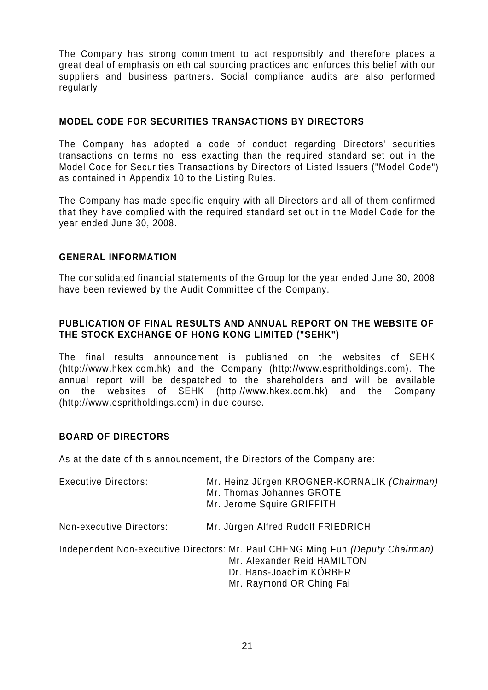The Company has strong commitment to act responsibly and therefore places a great deal of emphasis on ethical sourcing practices and enforces this belief with our suppliers and business partners. Social compliance audits are also performed regularly.

## **MODEL CODE FOR SECURITIES TRANSACTIONS BY DIRECTORS**

The Company has adopted a code of conduct regarding Directors' securities transactions on terms no less exacting than the required standard set out in the Model Code for Securities Transactions by Directors of Listed Issuers ("Model Code") as contained in Appendix 10 to the Listing Rules.

The Company has made specific enquiry with all Directors and all of them confirmed that they have complied with the required standard set out in the Model Code for the year ended June 30, 2008.

#### **GENERAL INFORMATION**

The consolidated financial statements of the Group for the year ended June 30, 2008 have been reviewed by the Audit Committee of the Company.

## **PUBLICATION OF FINAL RESULTS AND ANNUAL REPORT ON THE WEBSITE OF THE STOCK EXCHANGE OF HONG KONG LIMITED ("SEHK")**

The final results announcement is published on the websites of SEHK (http://www.hkex.com.hk) and the Company (http://www.espritholdings.com). The annual report will be despatched to the shareholders and will be available on the websites of SEHK (http://www.hkex.com.hk) and the Company (http://www.espritholdings.com) in due course.

### **BOARD OF DIRECTORS**

As at the date of this announcement, the Directors of the Company are:

| <b>Executive Directors:</b> | Mr. Heinz Jürgen KROGNER-KORNALIK (Chairman)<br>Mr. Thomas Johannes GROTE<br>Mr. Jerome Squire GRIFFITH                                                              |
|-----------------------------|----------------------------------------------------------------------------------------------------------------------------------------------------------------------|
| Non-executive Directors:    | Mr. Jürgen Alfred Rudolf FRIEDRICH                                                                                                                                   |
|                             | Independent Non-executive Directors: Mr. Paul CHENG Ming Fun (Deputy Chairman)<br>Mr. Alexander Reid HAMILTON<br>Dr. Hans-Joachim KÖRBER<br>Mr. Raymond OR Ching Fai |